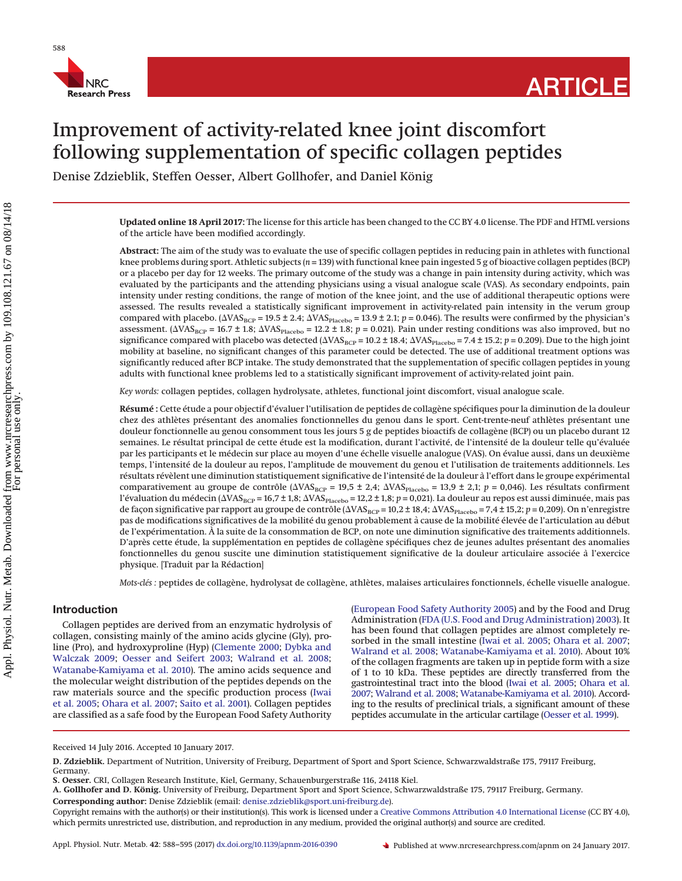

# Improvement of activity-related knee joint discomfort following supplementation of specific collagen peptides

Denise Zdzieblik, Steffen Oesser, Albert Gollhofer, and Daniel König

**Updated online 18 April 2017:** The license for this article has been changed to the CC BY 4.0 license. The PDF and HTML versions of the article have been modified accordingly.

**Abstract:** The aim of the study was to evaluate the use of specific collagen peptides in reducing pain in athletes with functional knee problems during sport. Athletic subjects (*n* = 139) with functional knee pain ingested 5 g of bioactive collagen peptides (BCP) or a placebo per day for 12 weeks. The primary outcome of the study was a change in pain intensity during activity, which was evaluated by the participants and the attending physicians using a visual analogue scale (VAS). As secondary endpoints, pain intensity under resting conditions, the range of motion of the knee joint, and the use of additional therapeutic options were assessed. The results revealed a statistically significant improvement in activity-related pain intensity in the verum group compared with placebo. ( $\Delta VAS<sub>BCP</sub> = 19.5 \pm 2.4$ ;  $\Delta VAS<sub>Placebo</sub> = 13.9 \pm 2.1$ ;  $p = 0.046$ ). The results were confirmed by the physician's assessment. ( $\Delta VAS_{\rm BCP}$  = 16.7 ± 1.8;  $\Delta VAS_{\rm Placebo}$  = 12.2 ± 1.8; *p* = 0.021). Pain under resting conditions was also improved, but no significance compared with placebo was detected ( $\Delta VAS_{\rm BCP}$  = 10.2 ± 18.4;  $\Delta VAS_{\rm Placebo}$  = 7.4 ± 15.2;  $p$  = 0.209). Due to the high joint mobility at baseline, no significant changes of this parameter could be detected. The use of additional treatment options was significantly reduced after BCP intake. The study demonstrated that the supplementation of specific collagen peptides in young adults with functional knee problems led to a statistically significant improvement of activity-related joint pain.

*Key words:* collagen peptides, collagen hydrolysate, athletes, functional joint discomfort, visual analogue scale.

**Résumé :** Cette étude a pour objectif d'évaluer l'utilisation de peptides de collagène spécifiques pour la diminution de la douleur chez des athlètes présentant des anomalies fonctionnelles du genou dans le sport. Cent-trente-neuf athlètes présentant une douleur fonctionnelle au genou consomment tous les jours 5 g de peptides bioactifs de collagène (BCP) ou un placebo durant 12 semaines. Le résultat principal de cette étude est la modification, durant l'activité, de l'intensité de la douleur telle qu'évaluée par les participants et le médecin sur place au moyen d'une échelle visuelle analogue (VAS). On évalue aussi, dans un deuxième temps, l'intensité de la douleur au repos, l'amplitude de mouvement du genou et l'utilisation de traitements additionnels. Les résultats révèlent une diminution statistiquement significative de l'intensité de la douleur a` l'effort dans le groupe expérimental comparativement au groupe de contrôle ( $\Delta VAS_{BCP}$  = 19,5 ± 2,4;  $\Delta VAS_{Placebo}$  = 13,9 ± 2,1; *p* = 0,046). Les résultats confirment l'évaluation du médecin (AVAS<sub>BCP</sub> = 16,7 ± 1,8; AVAS<sub>Placebo</sub> = 12,2 ± 1,8; *p* = 0,021). La douleur au repos est aussi diminuée, mais pas de façon significative par rapport au groupe de contrôle ( $\Delta VAS_{\rm BCP}$  = 10,2 ± 18,4;  $\Delta VAS_{\rm Placebo}$  = 7,4 ± 15,2; *p* = 0,209). On n'enregistre pas de modifications significatives de la mobilité du genou probablement a` cause de la mobilité élevée de l'articulation au début de l'expérimentation. À la suite de la consommation de BCP, on note une diminution significative des traitements additionnels. D'après cette étude, la supplémentation en peptides de collagène spécifiques chez de jeunes adultes présentant des anomalies fonctionnelles du genou suscite une diminution statistiquement significative de la douleur articulaire associée a` l'exercice physique. [Traduit par la Rédaction]

*Mots-clés :* peptides de collagène, hydrolysat de collagène, athlètes, malaises articulaires fonctionnels, échelle visuelle analogue.

# **Introduction**

Collagen peptides are derived from an enzymatic hydrolysis of collagen, consisting mainly of the amino acids glycine (Gly), proline (Pro), and hydroxyproline (Hyp) [\(Clemente 2000;](#page-6-0) [Dybka and](#page-6-1) [Walczak 2009;](#page-6-1) [Oesser and Seifert 2003;](#page-6-2) [Walrand et al. 2008;](#page-7-0) [Watanabe-Kamiyama et al. 2010\)](#page-7-1). The amino acids sequence and the molecular weight distribution of the peptides depends on the raw materials source and the specific production process [\(Iwai](#page-6-3) [et al. 2005;](#page-6-3) [Ohara et al. 2007;](#page-6-4) [Saito et al. 2001\)](#page-6-5). Collagen peptides are classified as a safe food by the European Food Safety Authority [\(European Food Safety Authority 2005\)](#page-6-6) and by the Food and Drug Administration [\(FDA \(U.S. Food and Drug Administration\) 2003\)](#page-6-7). It has been found that collagen peptides are almost completely resorbed in the small intestine [\(Iwai et al. 2005;](#page-6-3) [Ohara et al. 2007;](#page-6-4) [Walrand et al. 2008;](#page-7-0) [Watanabe-Kamiyama et al. 2010\)](#page-7-1). About 10% of the collagen fragments are taken up in peptide form with a size of 1 to 10 kDa. These peptides are directly transferred from the gastrointestinal tract into the blood [\(Iwai et al. 2005;](#page-6-3) [Ohara et al.](#page-6-4) [2007;](#page-6-4) [Walrand et al. 2008;](#page-7-0) [Watanabe-Kamiyama et al. 2010\)](#page-7-1). According to the results of preclinical trials, a significant amount of these peptides accumulate in the articular cartilage [\(Oesser et al. 1999\)](#page-6-8).

Received 14 July 2016. Accepted 10 January 2017.

**D. Zdzieblik.** Department of Nutrition, University of Freiburg, Department of Sport and Sport Science, Schwarzwaldstraße 175, 79117 Freiburg, Germany.

**S. Oesser.** CRI, Collagen Research Institute, Kiel, Germany, Schauenburgerstraße 116, 24118 Kiel.

**A. Gollhofer and D. König.** University of Freiburg, Department Sport and Sport Science, Schwarzwaldstraße 175, 79117 Freiburg, Germany.

**Corresponding author:** Denise Zdzieblik (email: [denise.zdzieblik@sport.uni-freiburg.de\)](mailto:denise.zdzieblik@sport.uni-freiburg.de).

Copyright remains with the author(s) or their institution(s). This work is licensed under a [Creative Commons Attribution 4.0 International License](http://creativecommons.org/licenses/by/4.0/) (CC BY 4.0), which permits unrestricted use, distribution, and reproduction in any medium, provided the original author(s) and source are credited.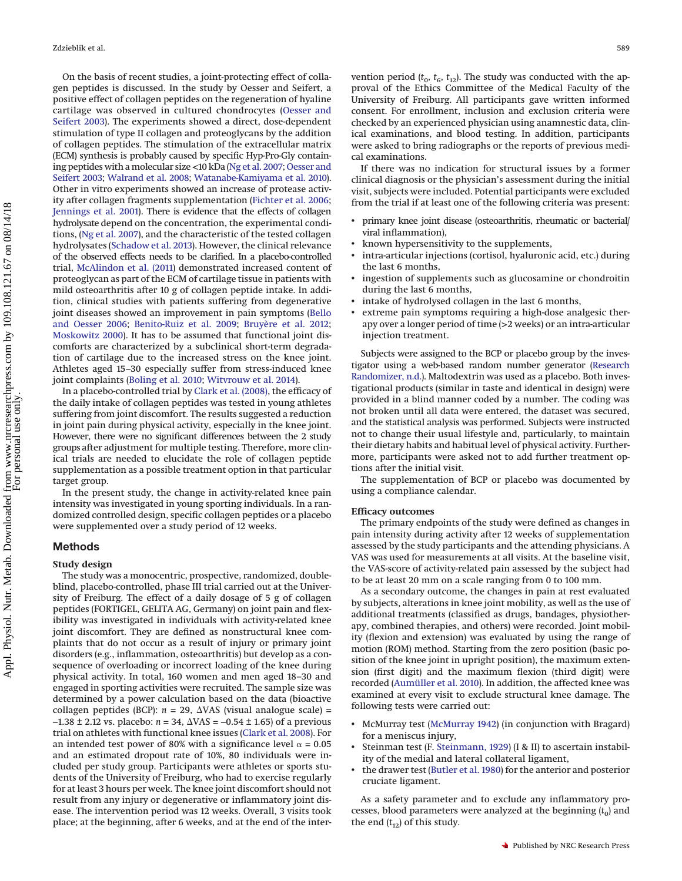On the basis of recent studies, a joint-protecting effect of collagen peptides is discussed. In the study by Oesser and Seifert, a positive effect of collagen peptides on the regeneration of hyaline cartilage was observed in cultured chondrocytes [\(Oesser and](#page-6-2) [Seifert 2003\)](#page-6-2). The experiments showed a direct, dose-dependent stimulation of type II collagen and proteoglycans by the addition of collagen peptides. The stimulation of the extracellular matrix (ECM) synthesis is probably caused by specific Hyp-Pro-Gly containing peptides with a molecular size <10 kDa [\(Ng et al. 2007;](#page-6-9) [Oesser and](#page-6-2) [Seifert 2003;](#page-6-2) [Walrand et al. 2008;](#page-7-0) [Watanabe-Kamiyama et al. 2010\)](#page-7-1). Other in vitro experiments showed an increase of protease activity after collagen fragments supplementation [\(Fichter et al. 2006;](#page-6-10) [Jennings et al. 2001\)](#page-6-11). There is evidence that the effects of collagen hydrolysate depend on the concentration, the experimental conditions, [\(Ng et al. 2007\)](#page-6-9), and the characteristic of the tested collagen hydrolysates [\(Schadow et al. 2013\)](#page-6-12). However, the clinical relevance of the observed effects needs to be clarified. In a placebo-controlled trial, [McAlindon et al. \(2011\)](#page-6-13) demonstrated increased content of proteoglycan as part of the ECM of cartilage tissue in patients with mild osteoarthritis after 10 g of collagen peptide intake. In addition, clinical studies with patients suffering from degenerative joint diseases showed an improvement in pain symptoms [\(Bello](#page-6-14) [and Oesser 2006;](#page-6-14) [Benito-Ruiz et al. 2009;](#page-6-15) [Bruyère et al. 2012;](#page-6-16) [Moskowitz 2000\)](#page-6-17). It has to be assumed that functional joint discomforts are characterized by a subclinical short-term degradation of cartilage due to the increased stress on the knee joint. Athletes aged 15–30 especially suffer from stress-induced knee joint complaints [\(Boling et al. 2010;](#page-6-18) [Witvrouw et al. 2014\)](#page-7-2).

In a placebo-controlled trial by [Clark et al. \(2008\),](#page-6-19) the efficacy of the daily intake of collagen peptides was tested in young athletes suffering from joint discomfort. The results suggested a reduction in joint pain during physical activity, especially in the knee joint. However, there were no significant differences between the 2 study groups after adjustment for multiple testing. Therefore, more clinical trials are needed to elucidate the role of collagen peptide supplementation as a possible treatment option in that particular target group.

In the present study, the change in activity-related knee pain intensity was investigated in young sporting individuals. In a randomized controlled design, specific collagen peptides or a placebo were supplemented over a study period of 12 weeks.

# **Methods**

#### **Study design**

The study was a monocentric, prospective, randomized, doubleblind, placebo-controlled, phase III trial carried out at the University of Freiburg. The effect of a daily dosage of 5 g of collagen peptides (FORTIGEL, GELITA AG, Germany) on joint pain and flexibility was investigated in individuals with activity-related knee joint discomfort. They are defined as nonstructural knee complaints that do not occur as a result of injury or primary joint disorders (e.g., inflammation, osteoarthritis) but develop as a consequence of overloading or incorrect loading of the knee during physical activity. In total, 160 women and men aged 18–30 and engaged in sporting activities were recruited. The sample size was determined by a power calculation based on the data (bioactive collagen peptides (BCP):  $n = 29$ ,  $\Delta VAS$  (visual analogue scale) = −1.38 ± 2.12 vs. placebo: *n* = 34,  $\Delta VAS$  = −0.54 ± 1.65) of a previous trial on athletes with functional knee issues [\(Clark et al. 2008\)](#page-6-19). For an intended test power of 80% with a significance level  $\alpha = 0.05$ and an estimated dropout rate of 10%, 80 individuals were included per study group. Participants were athletes or sports students of the University of Freiburg, who had to exercise regularly for at least 3 hours per week. The knee joint discomfort should not result from any injury or degenerative or inflammatory joint disease. The intervention period was 12 weeks. Overall, 3 visits took place; at the beginning, after 6 weeks, and at the end of the intervention period  $(t_0, t_6, t_{12})$ . The study was conducted with the approval of the Ethics Committee of the Medical Faculty of the University of Freiburg. All participants gave written informed consent. For enrollment, inclusion and exclusion criteria were checked by an experienced physician using anamnestic data, clinical examinations, and blood testing. In addition, participants were asked to bring radiographs or the reports of previous medical examinations.

If there was no indication for structural issues by a former clinical diagnosis or the physician's assessment during the initial visit, subjects were included. Potential participants were excluded from the trial if at least one of the following criteria was present:

- primary knee joint disease (osteoarthritis, rheumatic or bacterial/ viral inflammation),
- known hypersensitivity to the supplements,
- intra-articular injections (cortisol, hyaluronic acid, etc.) during the last 6 months,
- ingestion of supplements such as glucosamine or chondroitin during the last 6 months,
- intake of hydrolysed collagen in the last 6 months,
- extreme pain symptoms requiring a high-dose analgesic therapy over a longer period of time (>2 weeks) or an intra-articular injection treatment.

Subjects were assigned to the BCP or placebo group by the investigator using a web-based random number generator [\(Research](#page-6-20) [Randomizer, n.d.\)](#page-6-20). Maltodextrin was used as a placebo. Both investigational products (similar in taste and identical in design) were provided in a blind manner coded by a number. The coding was not broken until all data were entered, the dataset was secured, and the statistical analysis was performed. Subjects were instructed not to change their usual lifestyle and, particularly, to maintain their dietary habits and habitual level of physical activity. Furthermore, participants were asked not to add further treatment options after the initial visit.

The supplementation of BCP or placebo was documented by using a compliance calendar.

# **Efficacy outcomes**

The primary endpoints of the study were defined as changes in pain intensity during activity after 12 weeks of supplementation assessed by the study participants and the attending physicians. A VAS was used for measurements at all visits. At the baseline visit, the VAS-score of activity-related pain assessed by the subject had to be at least 20 mm on a scale ranging from 0 to 100 mm.

As a secondary outcome, the changes in pain at rest evaluated by subjects, alterations in knee joint mobility, as well as the use of additional treatments (classified as drugs, bandages, physiotherapy, combined therapies, and others) were recorded. Joint mobility (flexion and extension) was evaluated by using the range of motion (ROM) method. Starting from the zero position (basic position of the knee joint in upright position), the maximum extension (first digit) and the maximum flexion (third digit) were recorded [\(Aumüller et al. 2010\)](#page-6-21). In addition, the affected knee was examined at every visit to exclude structural knee damage. The following tests were carried out:

- McMurray test [\(McMurray 1942\)](#page-6-22) (in conjunction with Bragard) for a meniscus injury,
- Steinman test (F. [Steinmann, 1929\)](#page-6-23) (I & II) to ascertain instability of the medial and lateral collateral ligament,
- the drawer test [\(Butler et al. 1980\)](#page-6-24) for the anterior and posterior cruciate ligament.

As a safety parameter and to exclude any inflammatory processes, blood parameters were analyzed at the beginning  $(t_0)$  and the end  $(t_{12})$  of this study.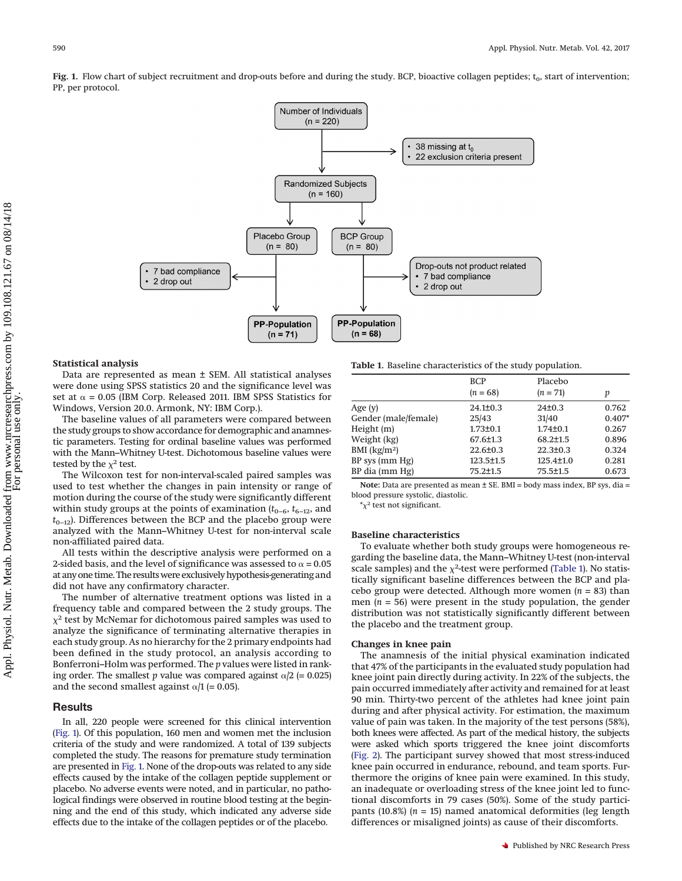<span id="page-2-0"></span>Fig. 1. Flow chart of subject recruitment and drop-outs before and during the study. BCP, bioactive collagen peptides; t<sub>0</sub>, start of intervention; PP, per protocol.



#### **Statistical analysis**

Data are represented as mean ± SEM. All statistical analyses were done using SPSS statistics 20 and the significance level was set at  $\alpha$  = 0.05 (IBM Corp. Released 2011. IBM SPSS Statistics for Windows, Version 20.0. Armonk, NY: IBM Corp.).

The baseline values of all parameters were compared between the study groups to show accordance for demographic and anamnestic parameters. Testing for ordinal baseline values was performed with the Mann–Whitney U-test. Dichotomous baseline values were tested by the  $\chi^2$  test.

The Wilcoxon test for non-interval-scaled paired samples was used to test whether the changes in pain intensity or range of motion during the course of the study were significantly different within study groups at the points of examination  $(t_{0-6}, t_{6-12},$  and  $t_{0-12}$ ). Differences between the BCP and the placebo group were analyzed with the Mann–Whitney U-test for non-interval scale non-affiliated paired data.

All tests within the descriptive analysis were performed on a 2-sided basis, and the level of significance was assessed to  $\alpha$  = 0.05 at any one time. The results were exclusively hypothesis-generating and did not have any confirmatory character.

The number of alternative treatment options was listed in a frequency table and compared between the 2 study groups. The  $\chi^2$  test by McNemar for dichotomous paired samples was used to analyze the significance of terminating alternative therapies in each study group. As no hierarchy for the 2 primary endpoints had been defined in the study protocol, an analysis according to Bonferroni–Holm was performed. The *p* values were listed in ranking order. The smallest *p* value was compared against  $\alpha/2$  (= 0.025) and the second smallest against  $\alpha/1$  (= 0.05).

## **Results**

In all, 220 people were screened for this clinical intervention [\(Fig. 1\)](#page-2-0). Of this population, 160 men and women met the inclusion criteria of the study and were randomized. A total of 139 subjects completed the study. The reasons for premature study termination are presented in [Fig. 1.](#page-2-0) None of the drop-outs was related to any side effects caused by the intake of the collagen peptide supplement or placebo. No adverse events were noted, and in particular, no pathological findings were observed in routine blood testing at the beginning and the end of this study, which indicated any adverse side effects due to the intake of the collagen peptides or of the placebo.

<span id="page-2-1"></span>**Table 1.** Baseline characteristics of the study population.

|                      | <b>BCP</b>      | Placebo         |          |  |
|----------------------|-----------------|-----------------|----------|--|
|                      | $(n = 68)$      | $(n = 71)$      | р        |  |
| Age $(y)$            | $24.1 \pm 0.3$  | 24±0.3          | 0.762    |  |
| Gender (male/female) | 25/43           | 31/40           | $0.407*$ |  |
| Height (m)           | $1.73 \pm 0.1$  | $1.74 \pm 0.1$  | 0.267    |  |
| Weight (kg)          | $67.6 \pm 1.3$  | $68.2 \pm 1.5$  | 0.896    |  |
| BMI $(kg/m2)$        | $22.6 \pm 0.3$  | $22.3 \pm 0.3$  | 0.324    |  |
| BP sys (mm Hg)       | $123.5 \pm 1.5$ | $125.4 \pm 1.0$ | 0.281    |  |
| BP dia (mm Hg)       | $75.2 \pm 1.5$  | $75.5 \pm 1.5$  | 0.673    |  |

**Note:** Data are presented as mean ± SE. BMI = body mass index, BP sys, dia = blood pressure systolic, diastolic.

 $\chi^2$  test not significant.

#### **Baseline characteristics**

To evaluate whether both study groups were homogeneous regarding the baseline data, the Mann–Whitney U-test (non-interval scale samples) and the  $\chi^2$ -test were performed [\(Table 1\)](#page-2-1). No statistically significant baseline differences between the BCP and placebo group were detected. Although more women (*n* = 83) than men  $(n = 56)$  were present in the study population, the gender distribution was not statistically significantly different between the placebo and the treatment group.

#### **Changes in knee pain**

The anamnesis of the initial physical examination indicated that 47% of the participants in the evaluated study population had knee joint pain directly during activity. In 22% of the subjects, the pain occurred immediately after activity and remained for at least 90 min. Thirty-two percent of the athletes had knee joint pain during and after physical activity. For estimation, the maximum value of pain was taken. In the majority of the test persons (58%), both knees were affected. As part of the medical history, the subjects were asked which sports triggered the knee joint discomforts [\(Fig. 2\)](#page-3-0). The participant survey showed that most stress-induced knee pain occurred in endurance, rebound, and team sports. Furthermore the origins of knee pain were examined. In this study, an inadequate or overloading stress of the knee joint led to functional discomforts in 79 cases (50%). Some of the study participants (10.8%) (*n* = 15) named anatomical deformities (leg length differences or misaligned joints) as cause of their discomforts.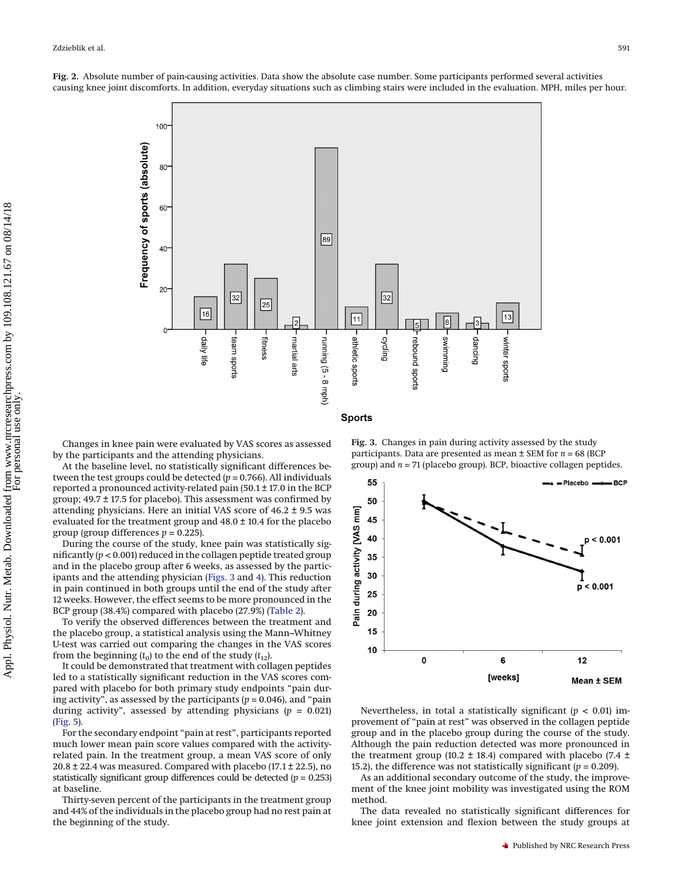

<span id="page-3-0"></span>**Fig. 2.** Absolute number of pain-causing activities. Data show the absolute case number. Some participants performed several activities causing knee joint discomforts. In addition, everyday situations such as climbing stairs were included in the evaluation. MPH, miles per hour.

Changes in knee pain were evaluated by VAS scores as assessed by the participants and the attending physicians.

At the baseline level, no statistically significant differences between the test groups could be detected (*p* = 0.766). All individuals reported a pronounced activity-related pain (50.1 ± 17.0 in the BCP group; 49.7 ± 17.5 for placebo). This assessment was confirmed by attending physicians. Here an initial VAS score of 46.2 ± 9.5 was evaluated for the treatment group and 48.0 ± 10.4 for the placebo group (group differences  $p = 0.225$ ).

During the course of the study, knee pain was statistically significantly (*p* < 0.001) reduced in the collagen peptide treated group and in the placebo group after 6 weeks, as assessed by the participants and the attending physician [\(Figs. 3](#page-3-1) and [4\)](#page-4-0). This reduction in pain continued in both groups until the end of the study after 12 weeks. However, the effect seems to be more pronounced in the BCP group (38.4%) compared with placebo (27.9%) [\(Table 2\)](#page-5-0).

To verify the observed differences between the treatment and the placebo group, a statistical analysis using the Mann–Whitney U-test was carried out comparing the changes in the VAS scores from the beginning  $(t_0)$  to the end of the study  $(t_{12})$ .

It could be demonstrated that treatment with collagen peptides led to a statistically significant reduction in the VAS scores compared with placebo for both primary study endpoints "pain during activity", as assessed by the participants  $(p = 0.046)$ , and "pain during activity", assessed by attending physicians  $(p = 0.021)$ [\(Fig. 5\)](#page-5-1).

For the secondary endpoint "pain at rest", participants reported much lower mean pain score values compared with the activityrelated pain. In the treatment group, a mean VAS score of only  $20.8 \pm 22.4$  was measured. Compared with placebo (17.1  $\pm$  22.5), no statistically significant group differences could be detected (*p* = 0.253) at baseline.

Thirty-seven percent of the participants in the treatment group and 44% of the individuals in the placebo group had no rest pain at the beginning of the study.

<span id="page-3-1"></span>**Fig. 3.** Changes in pain during activity assessed by the study participants. Data are presented as mean ± SEM for *n* = 68 (BCP group) and *n* = 71 (placebo group). BCP, bioactive collagen peptides.



Nevertheless, in total a statistically significant (*p* < 0.01) improvement of "pain at rest" was observed in the collagen peptide group and in the placebo group during the course of the study. Although the pain reduction detected was more pronounced in the treatment group (10.2 ± 18.4) compared with placebo (7.4 ± 15.2), the difference was not statistically significant  $(p = 0.209)$ .

As an additional secondary outcome of the study, the improvement of the knee joint mobility was investigated using the ROM method.

The data revealed no statistically significant differences for knee joint extension and flexion between the study groups at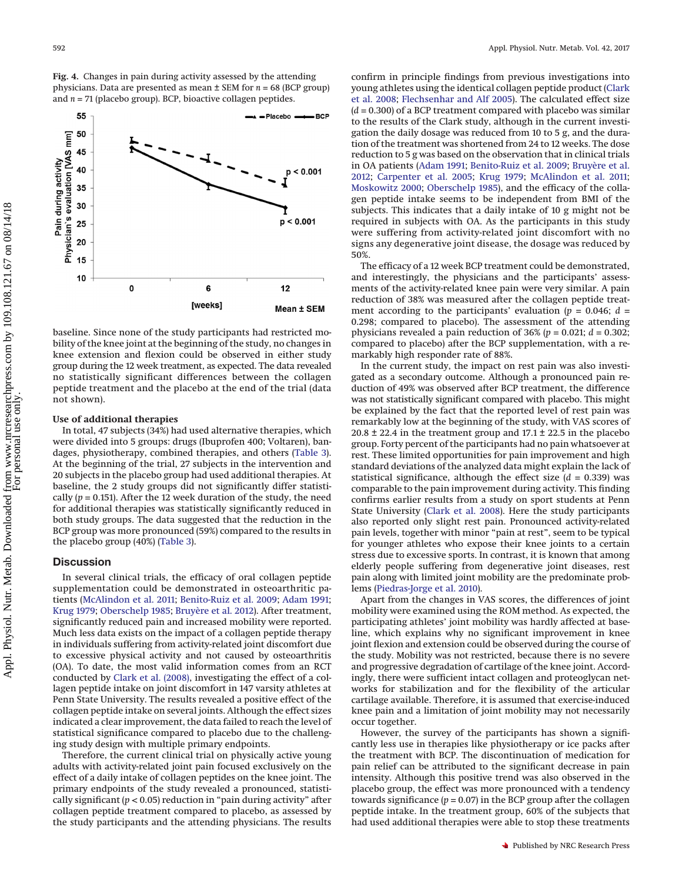<span id="page-4-0"></span>**Fig. 4.** Changes in pain during activity assessed by the attending physicians. Data are presented as mean ± SEM for *n* = 68 (BCP group) and *n* = 71 (placebo group). BCP, bioactive collagen peptides.



baseline. Since none of the study participants had restricted mobility of the knee joint at the beginning of the study, no changes in knee extension and flexion could be observed in either study group during the 12 week treatment, as expected. The data revealed no statistically significant differences between the collagen peptide treatment and the placebo at the end of the trial (data not shown).

### **Use of additional therapies**

In total, 47 subjects (34%) had used alternative therapies, which were divided into 5 groups: drugs (Ibuprofen 400; Voltaren), bandages, physiotherapy, combined therapies, and others [\(Table 3\)](#page-5-2). At the beginning of the trial, 27 subjects in the intervention and 20 subjects in the placebo group had used additional therapies. At baseline, the 2 study groups did not significantly differ statistically  $(p = 0.151)$ . After the 12 week duration of the study, the need for additional therapies was statistically significantly reduced in both study groups. The data suggested that the reduction in the BCP group was more pronounced (59%) compared to the results in the placebo group (40%) [\(Table 3\)](#page-5-2).

# **Discussion**

In several clinical trials, the efficacy of oral collagen peptide supplementation could be demonstrated in osteoarthritic patients [\(McAlindon et al. 2011;](#page-6-13) [Benito-Ruiz et al. 2009;](#page-6-15) [Adam 1991;](#page-6-25) [Krug 1979;](#page-6-26) [Oberschelp 1985;](#page-6-27) [Bruyère et al. 2012\)](#page-6-16). After treatment, significantly reduced pain and increased mobility were reported. Much less data exists on the impact of a collagen peptide therapy in individuals suffering from activity-related joint discomfort due to excessive physical activity and not caused by osteoarthritis (OA). To date, the most valid information comes from an RCT conducted by [Clark et al. \(2008\),](#page-6-19) investigating the effect of a collagen peptide intake on joint discomfort in 147 varsity athletes at Penn State University. The results revealed a positive effect of the collagen peptide intake on several joints. Although the effect sizes indicated a clear improvement, the data failed to reach the level of statistical significance compared to placebo due to the challenging study design with multiple primary endpoints.

Therefore, the current clinical trial on physically active young adults with activity-related joint pain focused exclusively on the effect of a daily intake of collagen peptides on the knee joint. The primary endpoints of the study revealed a pronounced, statistically significant  $(p < 0.05)$  reduction in "pain during activity" after collagen peptide treatment compared to placebo, as assessed by the study participants and the attending physicians. The results confirm in principle findings from previous investigations into young athletes using the identical collagen peptide product [\(Clark](#page-6-19) [et al. 2008;](#page-6-19) [Flechsenhar and Alf 2005\)](#page-6-28). The calculated effect size (*d* = 0.300) of a BCP treatment compared with placebo was similar to the results of the Clark study, although in the current investigation the daily dosage was reduced from 10 to 5 g, and the duration of the treatment was shortened from 24 to 12 weeks. The dose reduction to 5 g was based on the observation that in clinical trials in OA patients [\(Adam 1991;](#page-6-25) [Benito-Ruiz et al. 2009;](#page-6-15) [Bruyère et al.](#page-6-16) [2012;](#page-6-16) [Carpenter et al. 2005;](#page-6-29) [Krug 1979;](#page-6-26) [McAlindon et al. 2011;](#page-6-13) [Moskowitz 2000;](#page-6-17) [Oberschelp 1985\)](#page-6-27), and the efficacy of the collagen peptide intake seems to be independent from BMI of the subjects. This indicates that a daily intake of 10 g might not be required in subjects with OA. As the participants in this study were suffering from activity-related joint discomfort with no signs any degenerative joint disease, the dosage was reduced by 50%.

The efficacy of a 12 week BCP treatment could be demonstrated, and interestingly, the physicians and the participants' assessments of the activity-related knee pain were very similar. A pain reduction of 38% was measured after the collagen peptide treatment according to the participants' evaluation ( $p = 0.046$ ;  $d =$ 0.298; compared to placebo). The assessment of the attending physicians revealed a pain reduction of 36% (*p* = 0.021; *d* = 0.302; compared to placebo) after the BCP supplementation, with a remarkably high responder rate of 88%.

In the current study, the impact on rest pain was also investigated as a secondary outcome. Although a pronounced pain reduction of 49% was observed after BCP treatment, the difference was not statistically significant compared with placebo. This might be explained by the fact that the reported level of rest pain was remarkably low at the beginning of the study, with VAS scores of  $20.8 \pm 22.4$  in the treatment group and  $17.1 \pm 22.5$  in the placebo group. Forty percent of the participants had no pain whatsoever at rest. These limited opportunities for pain improvement and high standard deviations of the analyzed data might explain the lack of statistical significance, although the effect size  $(d = 0.339)$  was comparable to the pain improvement during activity. This finding confirms earlier results from a study on sport students at Penn State University [\(Clark et al. 2008\)](#page-6-19). Here the study participants also reported only slight rest pain. Pronounced activity-related pain levels, together with minor "pain at rest", seem to be typical for younger athletes who expose their knee joints to a certain stress due to excessive sports. In contrast, it is known that among elderly people suffering from degenerative joint diseases, rest pain along with limited joint mobility are the predominate problems [\(Piedras-Jorge et al. 2010\)](#page-6-30).

Apart from the changes in VAS scores, the differences of joint mobility were examined using the ROM method. As expected, the participating athletes' joint mobility was hardly affected at baseline, which explains why no significant improvement in knee joint flexion and extension could be observed during the course of the study. Mobility was not restricted, because there is no severe and progressive degradation of cartilage of the knee joint. Accordingly, there were sufficient intact collagen and proteoglycan networks for stabilization and for the flexibility of the articular cartilage available. Therefore, it is assumed that exercise-induced knee pain and a limitation of joint mobility may not necessarily occur together.

However, the survey of the participants has shown a significantly less use in therapies like physiotherapy or ice packs after the treatment with BCP. The discontinuation of medication for pain relief can be attributed to the significant decrease in pain intensity. Although this positive trend was also observed in the placebo group, the effect was more pronounced with a tendency towards significance  $(p = 0.07)$  in the BCP group after the collagen peptide intake. In the treatment group, 60% of the subjects that had used additional therapies were able to stop these treatments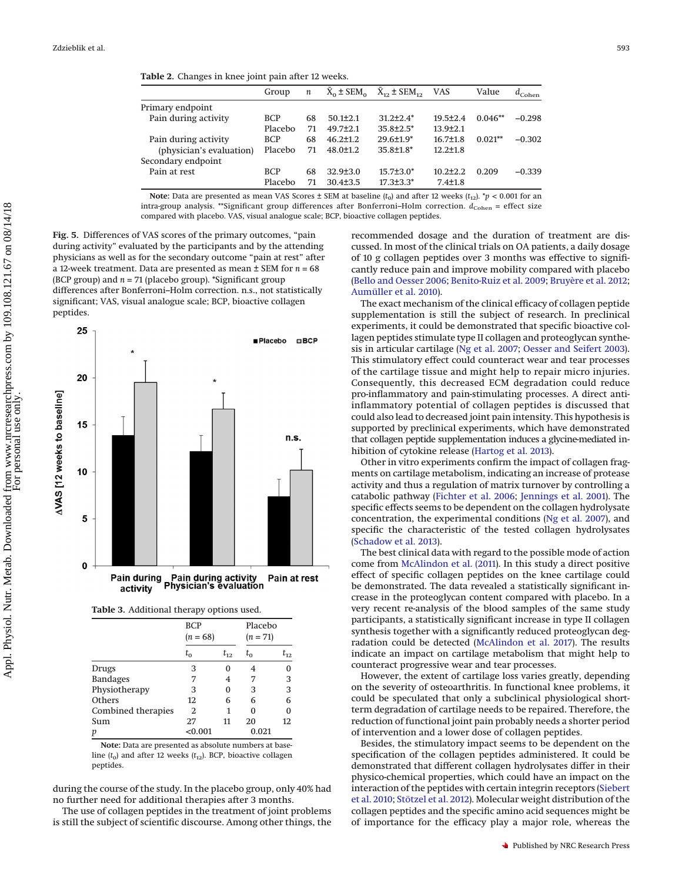<span id="page-5-0"></span>

|                          | Group      | $\boldsymbol{n}$ |                | $X_0 \pm SEM_0$ $\bar{X}_{12} \pm SEM_{12}$ | <b>VAS</b>     | Value     | $a_{Cohen}$ |
|--------------------------|------------|------------------|----------------|---------------------------------------------|----------------|-----------|-------------|
| Primary endpoint         |            |                  |                |                                             |                |           |             |
| Pain during activity     | <b>BCP</b> | 68               | $50.1 \pm 2.1$ | $31.2 + 2.4*$                               | $19.5 + 2.4$   | $0.046**$ | $-0.298$    |
|                          | Placebo    | 71               | $49.7 + 2.1$   | $35.8{\pm}2.5^*$                            | $13.9{\pm}2.1$ |           |             |
| Pain during activity     | <b>BCP</b> | 68               | $46.2 \pm 1.2$ | $29.6 \pm 1.9^*$                            | $16.7 \pm 1.8$ | $0.021**$ | $-0.302$    |
| (physician's evaluation) | Placebo    | 71               | $48.0 \pm 1.2$ | $35.8 \pm 1.8^*$                            | $12.2 \pm 1.8$ |           |             |
| Secondary endpoint       |            |                  |                |                                             |                |           |             |
| Pain at rest             | <b>BCP</b> | 68               | $32.9 \pm 3.0$ | $15.7 \pm 3.0*$                             | $10.2{\pm}2.2$ | 0.209     | $-0.339$    |
|                          | Placebo    | 71               | $30.4 \pm 3.5$ | $17.3 \pm 3.3^*$                            | $7.4 \pm 1.8$  |           |             |

**Note:** Data are presented as mean VAS Scores  $\pm$  SEM at baseline ( $t_0$ ) and after 12 weeks ( $t_{12}$ ). \*p < 0.001 for an intra-group analysis. \*\*Significant group differences after Bonferroni-Holm correction.  $d_{\text{Cohen}}$  = effect size compared with placebo. VAS, visual analogue scale; BCP, bioactive collagen peptides.

<span id="page-5-1"></span>**Fig. 5.** Differences of VAS scores of the primary outcomes, "pain during activity" evaluated by the participants and by the attending physicians as well as for the secondary outcome "pain at rest" after a 12-week treatment. Data are presented as mean ± SEM for *n* = 68 (BCP group) and *n* = 71 (placebo group). \*Significant group differences after Bonferroni–Holm correction. n.s., not statistically significant; VAS, visual analogue scale; BCP, bioactive collagen peptides.



<span id="page-5-2"></span>

|                    | <b>BCP</b><br>$(n = 68)$ |          | Placebo<br>$(n = 71)$ |          |
|--------------------|--------------------------|----------|-----------------------|----------|
|                    | $t_{0}$                  | $t_{12}$ | $t_{0}$               | $t_{12}$ |
| Drugs              | 3                        |          | 4                     | 0        |
| <b>Bandages</b>    | 7                        | 4        | 7                     | 3        |
| Physiotherapy      | 3                        | 0        | 3                     | 3        |
| Others             | 12                       | 6        | 6                     | 6        |
| Combined therapies | 2                        |          | 0                     | 0        |
| Sum                | 27                       | 11       | 20                    | 12       |
| р                  | < 0.001                  |          | 0.021                 |          |

**Note:** Data are presented as absolute numbers at baseline  $(t_0)$  and after 12 weeks  $(t_{12})$ . BCP, bioactive collagen peptides.

during the course of the study. In the placebo group, only 40% had no further need for additional therapies after 3 months.

The use of collagen peptides in the treatment of joint problems is still the subject of scientific discourse. Among other things, the recommended dosage and the duration of treatment are discussed. In most of the clinical trials on OA patients, a daily dosage of 10 g collagen peptides over 3 months was effective to significantly reduce pain and improve mobility compared with placebo [\(Bello and Oesser 2006;](#page-6-14) [Benito-Ruiz et al. 2009;](#page-6-15) [Bruyère et al. 2012;](#page-6-16) [Aumüller et al. 2010\)](#page-6-21).

The exact mechanism of the clinical efficacy of collagen peptide supplementation is still the subject of research. In preclinical experiments, it could be demonstrated that specific bioactive collagen peptides stimulate type II collagen and proteoglycan synthesis in articular cartilage [\(Ng et al. 2007;](#page-6-9) [Oesser and Seifert 2003\)](#page-6-2). This stimulatory effect could counteract wear and tear processes of the cartilage tissue and might help to repair micro injuries. Consequently, this decreased ECM degradation could reduce pro-inflammatory and pain-stimulating processes. A direct antiinflammatory potential of collagen peptides is discussed that could also lead to decreased joint pain intensity. This hypothesis is supported by preclinical experiments, which have demonstrated that collagen peptide supplementation induces a glycine-mediated inhibition of cytokine release [\(Hartog et al. 2013\)](#page-6-31).

Other in vitro experiments confirm the impact of collagen fragments on cartilage metabolism, indicating an increase of protease activity and thus a regulation of matrix turnover by controlling a catabolic pathway [\(Fichter et al. 2006;](#page-6-10) [Jennings et al. 2001\)](#page-6-11). The specific effects seems to be dependent on the collagen hydrolysate concentration, the experimental conditions [\(Ng et al. 2007\)](#page-6-9), and specific the characteristic of the tested collagen hydrolysates [\(Schadow et al. 2013\)](#page-6-12).

The best clinical data with regard to the possible mode of action come from [McAlindon et al. \(2011\)](#page-6-13). In this study a direct positive effect of specific collagen peptides on the knee cartilage could be demonstrated. The data revealed a statistically significant increase in the proteoglycan content compared with placebo. In a very recent re-analysis of the blood samples of the same study participants, a statistically significant increase in type II collagen synthesis together with a significantly reduced proteoglycan degradation could be detected [\(McAlindon et al. 2017\)](#page-6-32). The results indicate an impact on cartilage metabolism that might help to counteract progressive wear and tear processes.

However, the extent of cartilage loss varies greatly, depending on the severity of osteoarthritis. In functional knee problems, it could be speculated that only a subclinical physiological shortterm degradation of cartilage needs to be repaired. Therefore, the reduction of functional joint pain probably needs a shorter period of intervention and a lower dose of collagen peptides.

Besides, the stimulatory impact seems to be dependent on the specification of the collagen peptides administered. It could be demonstrated that different collagen hydrolysates differ in their physico-chemical properties, which could have an impact on the interaction of the peptides with certain integrin receptors [\(Siebert](#page-6-33) [et al. 2010;](#page-6-33) [Stötzel et al. 2012\)](#page-6-34). Molecular weight distribution of the collagen peptides and the specific amino acid sequences might be of importance for the efficacy play a major role, whereas the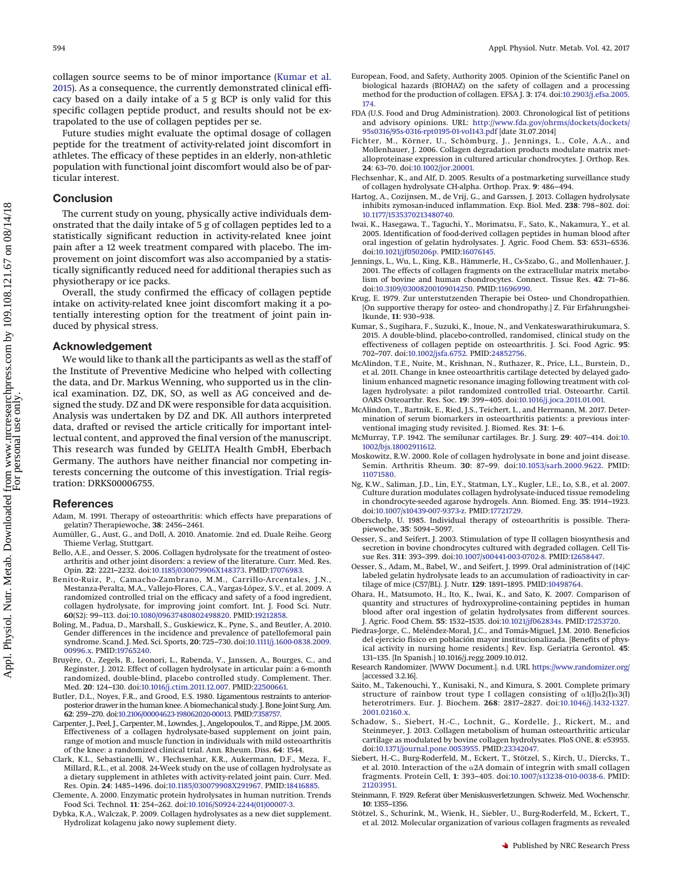collagen source seems to be of minor importance [\(Kumar et al.](#page-6-35) [2015\)](#page-6-35). As a consequence, the currently demonstrated clinical efficacy based on a daily intake of a 5 g BCP is only valid for this specific collagen peptide product, and results should not be extrapolated to the use of collagen peptides per se.

Future studies might evaluate the optimal dosage of collagen peptide for the treatment of activity-related joint discomfort in athletes. The efficacy of these peptides in an elderly, non-athletic population with functional joint discomfort would also be of particular interest.

## **Conclusion**

The current study on young, physically active individuals demonstrated that the daily intake of 5 g of collagen peptides led to a statistically significant reduction in activity-related knee joint pain after a 12 week treatment compared with placebo. The improvement on joint discomfort was also accompanied by a statistically significantly reduced need for additional therapies such as physiotherapy or ice packs.

Overall, the study confirmed the efficacy of collagen peptide intake on activity-related knee joint discomfort making it a potentially interesting option for the treatment of joint pain induced by physical stress.

# **Acknowledgement**

We would like to thank all the participants as well as the staff of the Institute of Preventive Medicine who helped with collecting the data, and Dr. Markus Wenning, who supported us in the clinical examination. DZ, DK, SO, as well as AG conceived and designed the study. DZ and DK were responsible for data acquisition. Analysis was undertaken by DZ and DK. All authors interpreted data, drafted or revised the article critically for important intellectual content, and approved the final version of the manuscript. This research was funded by GELITA Health GmbH, Eberbach Germany. The authors have neither financial nor competing interests concerning the outcome of this investigation. Trial registration: DRKS00006755.

## <span id="page-6-25"></span>**References**

- Adam, M. 1991. Therapy of osteoarthritis: which effects have preparations of gelatin? Therapiewoche, **38**: 2456–2461.
- <span id="page-6-21"></span><span id="page-6-14"></span>Aumüller, G., Aust, G., and Doll, A. 2010. Anatomie. 2nd ed. Duale Reihe. Georg Thieme Verlag, Stuttgart.
- Bello, A.E., and Oesser, S. 2006. Collagen hydrolysate for the treatment of osteoarthritis and other joint disorders: a review of the literature. Curr. Med. Res. Opin. **22**: 2221–2232. doi[:10.1185/030079906X148373.](http://dx.doi.org/10.1185/030079906X148373) PMID[:17076983.](http://www.ncbi.nlm.nih.gov/pubmed/17076983)
- <span id="page-6-15"></span>Benito-Ruiz, P., Camacho-Zambrano, M.M., Carrillo-Arcentales, J.N., Mestanza-Peralta, M.A., Vallejo-Flores, C.A., Vargas-López, S.V., et al. 2009. A randomized controlled trial on the efficacy and safety of a food ingredient, collagen hydrolysate, for improving joint comfort. Int. J. Food Sci. Nutr. **60**(S2): 99–113. doi[:10.1080/09637480802498820.](http://dx.doi.org/10.1080/09637480802498820) PMID[:19212858.](http://www.ncbi.nlm.nih.gov/pubmed/19212858)
- <span id="page-6-18"></span>Boling, M., Padua, D., Marshall, S., Guskiewicz, K., Pyne, S., and Beutler, A. 2010. Gender differences in the incidence and prevalence of patellofemoral pain syndrome. Scand. J. Med. Sci. Sports, **20**: 725–730. doi[:10.1111/j.1600-0838.2009.](http://dx.doi.org/10.1111/j.1600-0838.2009.00996.x) [00996.x.](http://dx.doi.org/10.1111/j.1600-0838.2009.00996.x) PMID[:19765240.](http://www.ncbi.nlm.nih.gov/pubmed/19765240)
- <span id="page-6-16"></span>Bruyère, O., Zegels, B., Leonori, L., Rabenda, V., Janssen, A., Bourges, C., and Reginster, J. 2012. Effect of collagen hydrolysate in articular pain: a 6-month randomized, double-blind, placebo controlled study. Complement. Ther. Med. **20**: 124–130. doi[:10.1016/j.ctim.2011.12.007.](http://dx.doi.org/10.1016/j.ctim.2011.12.007) PMID[:22500661.](http://www.ncbi.nlm.nih.gov/pubmed/22500661)
- <span id="page-6-24"></span>Butler, D.L., Noyes, F.R., and Grood, E.S. 1980. Ligamentous restraints to anteriorposterior drawer in the human knee. A biomechanical study. J. Bone Joint Surg. Am. **62**: 259–270. do[i:10.2106/00004623-198062020-00013.](http://dx.doi.org/10.2106/00004623-198062020-00013) PMID[:7358757.](http://www.ncbi.nlm.nih.gov/pubmed/7358757)
- <span id="page-6-29"></span>Carpenter, J., Peel, J., Carpenter, M., Lowndes, J., Angelopoulos, T., and Rippe, J.M. 2005. Effectiveness of a collagen hydrolysate-based supplement on joint pain, range of motion and muscle function in individuals with mild osteoarthritis of the knee: a randomized clinical trial. Ann. Rheum. Diss. **64**: 1544.
- <span id="page-6-19"></span>Clark, K.L., Sebastianelli, W., Flechsenhar, K.R., Aukermann, D.F., Meza, F., Millard, R.L., et al. 2008. 24-Week study on the use of collagen hydrolysate as a dietary supplement in athletes with activity-related joint pain. Curr. Med. Res. Opin. **24**: 1485–1496. doi[:10.1185/030079908X291967.](http://dx.doi.org/10.1185/030079908X291967) PMID[:18416885.](http://www.ncbi.nlm.nih.gov/pubmed/18416885)
- <span id="page-6-0"></span>Clemente, A. 2000. Enzymatic protein hydrolysates in human nutrition. Trends Food Sci. Technol. **11**: 254–262. doi[:10.1016/S0924-2244\(01\)00007-3.](http://dx.doi.org/10.1016/S0924-2244(01)00007-3)
- <span id="page-6-1"></span>Dybka, K.A., Walczak, P. 2009. Collagen hydrolysates as a new diet supplement. Hydrolizat kolagenu jako nowy suplement diety.
- <span id="page-6-6"></span>European, Food, and Safety, Authority 2005. Opinion of the Scientific Panel on biological hazards (BIOHAZ) on the safety of collagen and a processing method for the production of collagen. EFSA J. **3**: 174. doi[:10.2903/j.efsa.2005.](http://dx.doi.org/10.2903/j.efsa.2005.174) [174.](http://dx.doi.org/10.2903/j.efsa.2005.174)
- <span id="page-6-7"></span>FDA (U.S. Food and Drug Administration). 2003. Chronological list of petitions and advisory opinions. URL: [http://www.fda.gov/ohrms/dockets/dockets/](http://www.fda.gov/ohrms/dockets/dockets/95s0316/95s-0316-rpt0195-01-vol143.pdf) [95s0316/95s-0316-rpt0195-01-vol143.pdf](http://www.fda.gov/ohrms/dockets/dockets/95s0316/95s-0316-rpt0195-01-vol143.pdf) [date 31.07.2014]
- <span id="page-6-10"></span>Fichter, M., Körner, U., Schömburg, J., Jennings, L., Cole, A.A., and Mollenhauer, J. 2006. Collagen degradation products modulate matrix metalloproteinase expression in cultured articular chondrocytes. J. Orthop. Res. **24**: 63–70. doi[:10.1002/jor.20001.](http://dx.doi.org/10.1002/jor.20001)
- <span id="page-6-28"></span>Flechsenhar, K., and Alf, D. 2005. Results of a postmarketing surveillance study of collagen hydrolysate CH-alpha. Orthop. Prax. **9**: 486–494.
- <span id="page-6-31"></span>Hartog, A., Cozijnsen, M., de Vrij, G., and Garssen, J. 2013. Collagen hydrolysate inhibits zymosan-induced inflammation. Exp. Biol. Med. **238**: 798–802. doi: [10.1177/1535370213480740.](http://dx.doi.org/10.1177/1535370213480740)
- <span id="page-6-3"></span>Iwai, K., Hasegawa, T., Taguchi, Y., Morimatsu, F., Sato, K., Nakamura, Y., et al. 2005. Identification of food-derived collagen peptides in human blood after oral ingestion of gelatin hydrolysates. J. Agric. Food Chem. **53**: 6531–6536. doi[:10.1021/jf050206p.](http://dx.doi.org/10.1021/jf050206p) PMID[:16076145.](http://www.ncbi.nlm.nih.gov/pubmed/16076145)
- <span id="page-6-11"></span>Jennings, L., Wu, L., King, K.B., Hämmerle, H., Cs-Szabo, G., and Mollenhauer, J. 2001. The effects of collagen fragments on the extracellular matrix metabolism of bovine and human chondrocytes. Connect. Tissue Res. **42**: 71–86. doi[:10.3109/03008200109014250.](http://dx.doi.org/10.3109/03008200109014250) PMID[:11696990.](http://www.ncbi.nlm.nih.gov/pubmed/11696990)
- <span id="page-6-26"></span>Krug, E. 1979. Zur unterstutzenden Therapie bei Osteo- und Chondropathien. [On supportive therapy for osteo- and chondropathy.] Z. Für Erfahrungsheilkunde, **11**: 930–938.
- <span id="page-6-35"></span>Kumar, S., Sugihara, F., Suzuki, K., Inoue, N., and Venkateswarathirukumara, S. 2015. A double-blind, placebo-controlled, randomised, clinical study on the effectiveness of collagen peptide on osteoarthritis. J. Sci. Food Agric. **95**: 702–707. doi[:10.1002/jsfa.6752.](http://dx.doi.org/10.1002/jsfa.6752) PMID[:24852756.](http://www.ncbi.nlm.nih.gov/pubmed/24852756)
- <span id="page-6-13"></span>McAlindon, T.E., Nuite, M., Krishnan, N., Ruthazer, R., Price, L.L., Burstein, D., et al. 2011. Change in knee osteoarthritis cartilage detected by delayed gadolinium enhanced magnetic resonance imaging following treatment with collagen hydrolysate: a pilot randomized controlled trial. Osteoarthr. Cartil. OARS Osteoarthr. Res. Soc. **19**: 399–405. doi[:10.1016/j.joca.2011.01.001.](http://dx.doi.org/10.1016/j.joca.2011.01.001)
- <span id="page-6-32"></span>McAlindon, T., Bartnik, E., Ried, J.S., Teichert, L., and Herrmann, M. 2017. Determination of serum biomarkers in osteoarthritis patients: a previous interventional imaging study revisited. J. Biomed. Res. **31**: 1–6.
- <span id="page-6-22"></span>McMurray, T.P. 1942. The semilunar cartilages. Br. J. Surg. **29**: 407–414. doi[:10.](http://dx.doi.org/10.1002/bjs.18002911612) [1002/bjs.18002911612.](http://dx.doi.org/10.1002/bjs.18002911612)
- <span id="page-6-17"></span>Moskowitz, R.W. 2000. Role of collagen hydrolysate in bone and joint disease. Semin. Arthritis Rheum. **30**: 87–99. doi[:10.1053/sarh.2000.9622.](http://dx.doi.org/10.1053/sarh.2000.9622) PMID: [11071580.](http://www.ncbi.nlm.nih.gov/pubmed/11071580)
- <span id="page-6-9"></span>Ng, K.W., Saliman, J.D., Lin, E.Y., Statman, L.Y., Kugler, L.E., Lo, S.B., et al. 2007. Culture duration modulates collagen hydrolysate-induced tissue remodeling in chondrocyte-seeded agarose hydrogels. Ann. Biomed. Eng. **35**: 1914–1923. doi[:10.1007/s10439-007-9373-z.](http://dx.doi.org/10.1007/s10439-007-9373-z) PMID[:17721729.](http://www.ncbi.nlm.nih.gov/pubmed/17721729)
- <span id="page-6-27"></span>Oberschelp, U. 1985. Individual therapy of osteoarthritis is possible. Therapiewoche, **35**: 5094–5097.
- <span id="page-6-2"></span>Oesser, S., and Seifert, J. 2003. Stimulation of type II collagen biosynthesis and secretion in bovine chondrocytes cultured with degraded collagen. Cell Tissue Res. **311**: 393–399. doi[:10.1007/s00441-003-0702-8.](http://dx.doi.org/10.1007/s00441-003-0702-8) PMID[:12658447.](http://www.ncbi.nlm.nih.gov/pubmed/12658447)
- <span id="page-6-8"></span>Oesser, S., Adam, M., Babel, W., and Seifert, J. 1999. Oral administration of (14)C labeled gelatin hydrolysate leads to an accumulation of radioactivity in cartilage of mice (C57/BL). J. Nutr. **129**: 1891–1895. PMID[:10498764.](http://www.ncbi.nlm.nih.gov/pubmed/10498764)
- <span id="page-6-4"></span>Ohara, H., Matsumoto, H., Ito, K., Iwai, K., and Sato, K. 2007. Comparison of quantity and structures of hydroxyproline-containing peptides in human blood after oral ingestion of gelatin hydrolysates from different sources. J. Agric. Food Chem. **55**: 1532–1535. doi[:10.1021/jf062834s.](http://dx.doi.org/10.1021/jf062834s) PMID[:17253720.](http://www.ncbi.nlm.nih.gov/pubmed/17253720)
- <span id="page-6-30"></span>Piedras-Jorge, C., Meléndez-Moral, J.C., and Tomás-Miguel, J.M. 2010. Beneficios del ejercicio físico en población mayor institucionalizada. [Benefits of physical activity in nursing home residents.] Rev. Esp. Geriatría Gerontol. **45**: 131–135. [In Spanish.] 10.1016/j.regg.2009.10.012.
- <span id="page-6-20"></span>Research Randomizer. [WWW Document.]. n.d. URL <https://www.randomizer.org/> [accessed 3.2.16].
- <span id="page-6-5"></span>Saito, M., Takenouchi, Y., Kunisaki, N., and Kimura, S. 2001. Complete primary structure of rainbow trout type I collagen consisting of  $\alpha$ 1(I) $\alpha$ 2(I) $\alpha$ 3(I) heterotrimers. Eur. J. Biochem. **268**: 2817–2827. doi[:10.1046/j.1432-1327.](http://dx.doi.org/10.1046/j.1432-1327.2001.02160.x) [2001.02160.x.](http://dx.doi.org/10.1046/j.1432-1327.2001.02160.x)
- <span id="page-6-12"></span>Schadow, S., Siebert, H.-C., Lochnit, G., Kordelle, J., Rickert, M., and Steinmeyer, J. 2013. Collagen metabolism of human osteoarthritic articular cartilage as modulated by bovine collagen hydrolysates. PloS ONE, **8**: e53955. doi[:10.1371/journal.pone.0053955.](http://dx.doi.org/10.1371/journal.pone.0053955) PMID[:23342047.](http://www.ncbi.nlm.nih.gov/pubmed/23342047)
- <span id="page-6-33"></span>Siebert, H.-C., Burg-Roderfeld, M., Eckert, T., Stötzel, S., Kirch, U., Diercks, T., et al. 2010. Interaction of the  $\alpha$ 2A domain of integrin with small collagen fragments. Protein Cell, **1**: 393–405. doi[:10.1007/s13238-010-0038-6.](http://dx.doi.org/10.1007/s13238-010-0038-6) PMID: [21203951.](http://www.ncbi.nlm.nih.gov/pubmed/21203951)
- <span id="page-6-23"></span>Steinmann, F. 1929. Referat über Meniskusverletzungen. Schweiz. Med. Wochenschr. **10**: 1355–1356.
- <span id="page-6-34"></span>Stötzel, S., Schurink, M., Wienk, H., Siebler, U., Burg-Roderfeld, M., Eckert, T., et al. 2012. Molecular organization of various collagen fragments as revealed